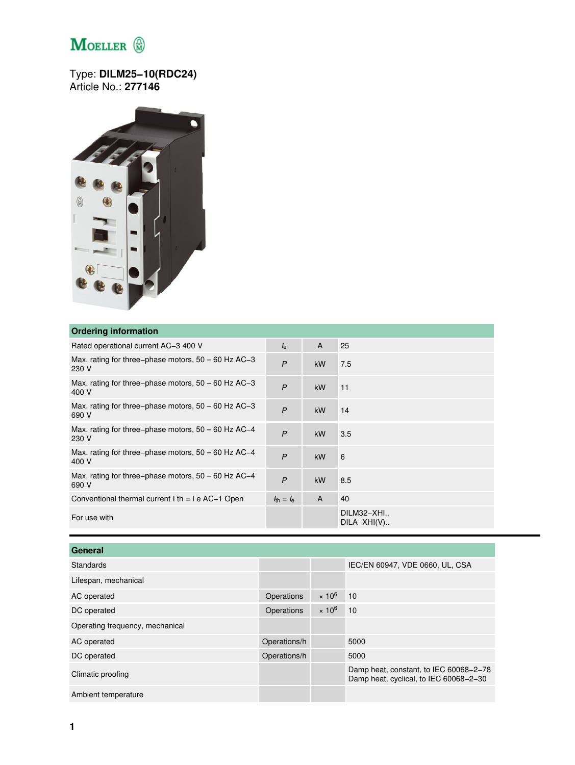## $\label{eq:1} \mathop{\mathbf{M}{\rm{o}}{\rm{e}}{\rm{L}}{\rm{e}}{\rm{R}}\, \stackrel{\bigoplus}{\scriptstyle\sim}$

## Type: **DILM25−10(RDC24)** Article No.: **277146**



## **Ordering information**

| <b>UNCLINIA INTOITIVATION</b>                                  |                                |              |                             |
|----------------------------------------------------------------|--------------------------------|--------------|-----------------------------|
| Rated operational current AC-3 400 V                           | $I_{\rm e}$                    | A            | 25                          |
| Max. rating for three-phase motors, $50 - 60$ Hz AC-3<br>230 V | $\overline{P}$                 | kW           | 7.5                         |
| Max. rating for three-phase motors, $50 - 60$ Hz AC-3<br>400 V | $\overline{P}$                 | kW           | 11                          |
| Max. rating for three–phase motors, $50 - 60$ Hz AC–3<br>690 V | $\mathsf{P}$                   | kW           | 14                          |
| Max. rating for three–phase motors, $50 - 60$ Hz AC–4<br>230 V | $\overline{P}$                 | <b>kW</b>    | 3.5                         |
| Max. rating for three-phase motors, 50 - 60 Hz AC-4<br>400 V   | $\overline{P}$                 | kW           | 6                           |
| Max. rating for three–phase motors, $50 - 60$ Hz AC–4<br>690 V | $\mathsf{P}$                   | kW           | 8.5                         |
| Conventional thermal current $l$ th = $l$ e AC-1 Open          | $l_{\text{th}} = l_{\text{e}}$ | $\mathsf{A}$ | 40                          |
| For use with                                                   |                                |              | DILM32-XHI<br>$DILA-XHI(V)$ |
|                                                                |                                |              |                             |

| General                         |              |               |                                                                                  |
|---------------------------------|--------------|---------------|----------------------------------------------------------------------------------|
| Standards                       |              |               | IEC/EN 60947, VDE 0660, UL, CSA                                                  |
| Lifespan, mechanical            |              |               |                                                                                  |
| AC operated                     | Operations   | $\times 10^6$ | 10                                                                               |
| DC operated                     | Operations   | $\times 10^6$ | 10                                                                               |
| Operating frequency, mechanical |              |               |                                                                                  |
| AC operated                     | Operations/h |               | 5000                                                                             |
| DC operated                     | Operations/h |               | 5000                                                                             |
| Climatic proofing               |              |               | Damp heat, constant, to IEC 60068-2-78<br>Damp heat, cyclical, to IEC 60068-2-30 |
| Ambient temperature             |              |               |                                                                                  |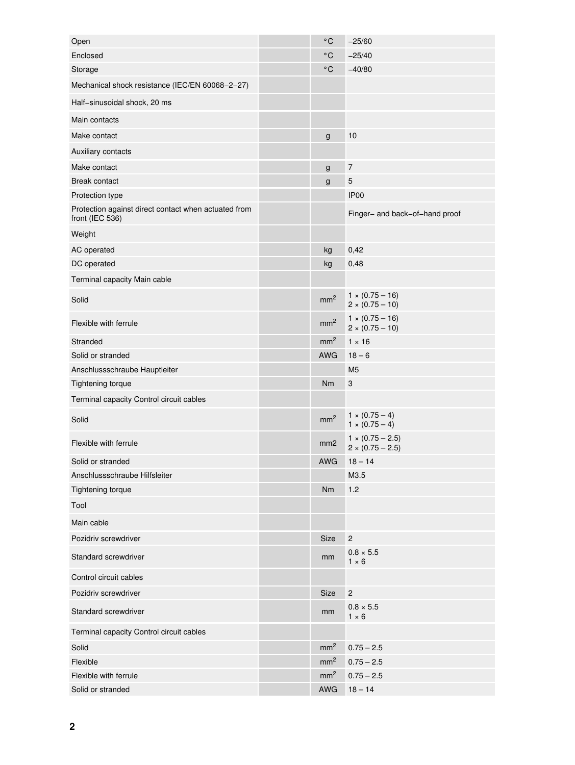| Open                                                                    | $^{\circ}$ C    | $-25/60$                                           |
|-------------------------------------------------------------------------|-----------------|----------------------------------------------------|
| Enclosed                                                                | °C              | $-25/40$                                           |
| Storage                                                                 | $^{\circ}$ C    | $-40/80$                                           |
| Mechanical shock resistance (IEC/EN 60068-2-27)                         |                 |                                                    |
| Half-sinusoidal shock, 20 ms                                            |                 |                                                    |
| Main contacts                                                           |                 |                                                    |
| Make contact                                                            | $\mathsf g$     | 10                                                 |
| Auxiliary contacts                                                      |                 |                                                    |
| Make contact                                                            | g               | $\overline{7}$                                     |
| Break contact                                                           | g               | 5                                                  |
| Protection type                                                         |                 | IP <sub>00</sub>                                   |
| Protection against direct contact when actuated from<br>front (IEC 536) |                 | Finger- and back-of-hand proof                     |
| Weight                                                                  |                 |                                                    |
| AC operated                                                             | kg              | 0,42                                               |
| DC operated                                                             | kg              | 0,48                                               |
| Terminal capacity Main cable                                            |                 |                                                    |
| Solid                                                                   | mm <sup>2</sup> | $1 \times (0.75 - 16)$<br>$2 \times (0.75 - 10)$   |
| Flexible with ferrule                                                   | mm <sup>2</sup> | $1 \times (0.75 - 16)$<br>$2 \times (0.75 - 10)$   |
| Stranded                                                                | mm <sup>2</sup> | $1 \times 16$                                      |
| Solid or stranded                                                       | <b>AWG</b>      | $18 - 6$                                           |
| Anschlussschraube Hauptleiter                                           |                 | M <sub>5</sub>                                     |
| Tightening torque                                                       | Nm              | $\ensuremath{\mathsf{3}}$                          |
| Terminal capacity Control circuit cables                                |                 |                                                    |
| Solid                                                                   | mm <sup>2</sup> | $1 \times (0.75 - 4)$<br>$1 \times (0.75 - 4)$     |
| Flexible with ferrule                                                   | mm <sub>2</sub> | $1 \times (0.75 - 2.5)$<br>$2 \times (0.75 - 2.5)$ |
| Solid or stranded                                                       | <b>AWG</b>      | $18 - 14$                                          |
| Anschlussschraube Hilfsleiter                                           |                 | M3.5                                               |
| Tightening torque                                                       | Nm              | 1.2                                                |
| Tool                                                                    |                 |                                                    |
| Main cable                                                              |                 |                                                    |
| Pozidriv screwdriver                                                    | Size            | $\sqrt{2}$                                         |
| Standard screwdriver                                                    | mm              | $0.8 \times 5.5$<br>$1 \times 6$                   |
| Control circuit cables                                                  |                 |                                                    |
| Pozidriv screwdriver                                                    | Size            | $\overline{c}$                                     |
| Standard screwdriver                                                    | mm              | $0.8 \times 5.5$<br>$1 \times 6$                   |
| Terminal capacity Control circuit cables                                |                 |                                                    |
| Solid                                                                   | mm <sup>2</sup> | $0.75 - 2.5$                                       |
| Flexible                                                                | mm <sup>2</sup> | $0.75 - 2.5$                                       |
| Flexible with ferrule                                                   | mm <sup>2</sup> | $0.75 - 2.5$                                       |
| Solid or stranded                                                       | AWG             | $18 - 14$                                          |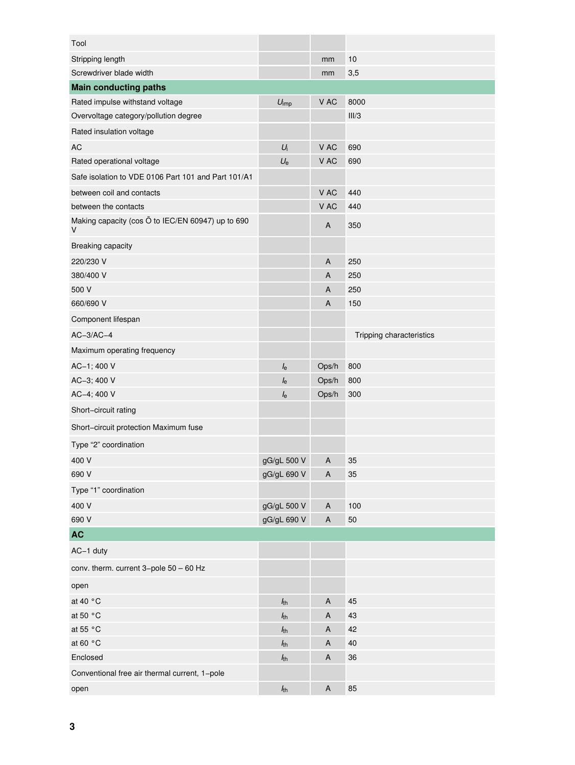| Tool                                                        |                  |             |                          |
|-------------------------------------------------------------|------------------|-------------|--------------------------|
| Stripping length                                            |                  | mm          | 10                       |
| Screwdriver blade width                                     |                  | mm          | 3,5                      |
| <b>Main conducting paths</b>                                |                  |             |                          |
| Rated impulse withstand voltage                             | $U_{\text{imp}}$ | V AC        | 8000                     |
| Overvoltage category/pollution degree                       |                  |             | III/3                    |
| Rated insulation voltage                                    |                  |             |                          |
| AC                                                          | $U_i$            | V AC        | 690                      |
| Rated operational voltage                                   | $U_{\rm e}$      | V AC        | 690                      |
| Safe isolation to VDE 0106 Part 101 and Part 101/A1         |                  |             |                          |
| between coil and contacts                                   |                  | V AC        | 440                      |
| between the contacts                                        |                  | V AC        | 440                      |
| Making capacity (cos O to IEC/EN 60947) up to 690<br>$\vee$ |                  | A           | 350                      |
| Breaking capacity                                           |                  |             |                          |
| 220/230 V                                                   |                  | A           | 250                      |
| 380/400 V                                                   |                  | A           | 250                      |
| 500 V                                                       |                  | A           | 250                      |
| 660/690 V                                                   |                  | A           | 150                      |
| Component lifespan                                          |                  |             |                          |
| $AC-3/AC-4$                                                 |                  |             | Tripping characteristics |
| Maximum operating frequency                                 |                  |             |                          |
| AC-1; 400 V                                                 | $I_{\rm e}$      | Ops/h       | 800                      |
| AC-3; 400 V                                                 | $I_{\rm e}$      | Ops/h       | 800                      |
| AC-4; 400 V                                                 | $I_{\rm e}$      | Ops/h       | 300                      |
| Short-circuit rating                                        |                  |             |                          |
| Short-circuit protection Maximum fuse                       |                  |             |                          |
| Type "2" coordination                                       |                  |             |                          |
| 400 V                                                       | gG/gL 500 V      | A           | 35                       |
| 690 V                                                       | gG/gL 690 V      | $\sf A$     | 35                       |
| Type "1" coordination                                       |                  |             |                          |
| 400 V                                                       | gG/gL 500 V      | A           | 100                      |
| 690 V                                                       | gG/gL 690 V      | $\sf A$     | 50                       |
| <b>AC</b>                                                   |                  |             |                          |
| AC-1 duty                                                   |                  |             |                          |
| conv. therm. current 3-pole 50 - 60 Hz                      |                  |             |                          |
| open                                                        |                  |             |                          |
| at 40 °C                                                    | $h_{\rm th}$     | $\sf A$     | 45                       |
| at 50 °C                                                    | h <sub>th</sub>  | A           | 43                       |
| at 55 °C                                                    | $h_{\text{th}}$  | A           | 42                       |
| at 60 °C                                                    | $h_{th}$         | A           | 40                       |
| Enclosed                                                    | $h_{th}$         | A           | 36                       |
| Conventional free air thermal current, 1-pole               |                  |             |                          |
| open                                                        | $h_{th}$         | $\mathsf A$ | 85                       |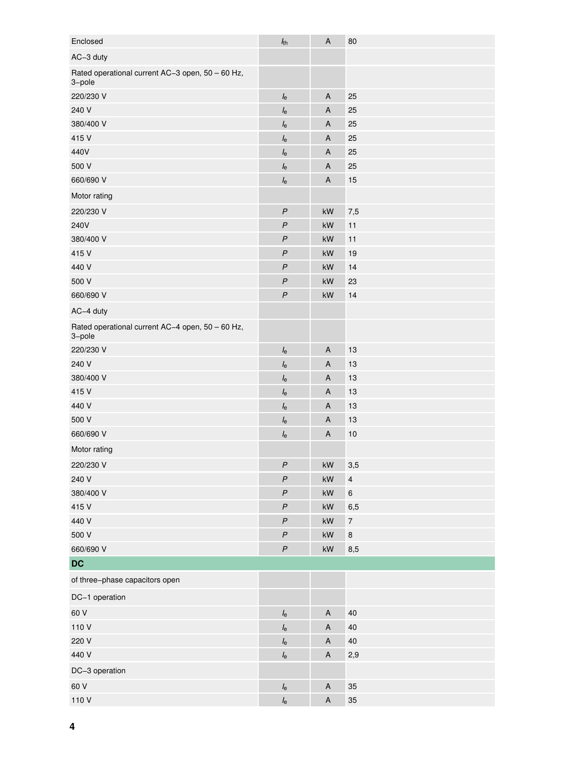| Enclosed                                                   | $h_{th}$         | $\sf A$                   | 80                       |
|------------------------------------------------------------|------------------|---------------------------|--------------------------|
| AC-3 duty                                                  |                  |                           |                          |
| Rated operational current AC-3 open, 50 - 60 Hz,<br>3-pole |                  |                           |                          |
| 220/230 V                                                  | $I_{\rm e}$      | $\boldsymbol{\mathsf{A}}$ | 25                       |
| 240 V                                                      | $I_{\rm e}$      | A                         | 25                       |
| 380/400 V                                                  | $I_{\rm e}$      | A                         | 25                       |
| 415 V                                                      | $I_{\rm e}$      | A                         | 25                       |
| 440V                                                       | $I_{\rm e}$      | A                         | 25                       |
| 500 V                                                      | $I_{\rm e}$      | $\mathsf A$               | 25                       |
| 660/690 V                                                  | $I_{\rm e}$      | $\boldsymbol{\mathsf{A}}$ | 15                       |
| Motor rating                                               |                  |                           |                          |
| 220/230 V                                                  | $\boldsymbol{P}$ | $\mathsf{k}\mathsf{W}$    | 7,5                      |
| 240V                                                       | $\overline{P}$   | kW                        | 11                       |
| 380/400 V                                                  | $\mathsf{P}$     | kW                        | 11                       |
| 415 V                                                      | $\overline{P}$   | kW                        | 19                       |
| 440 V                                                      | $\boldsymbol{P}$ | kW                        | 14                       |
| 500 V                                                      | $\boldsymbol{P}$ | kW                        | 23                       |
| 660/690 V                                                  | $\boldsymbol{P}$ | kW                        | 14                       |
| AC-4 duty                                                  |                  |                           |                          |
| Rated operational current AC-4 open, 50 - 60 Hz,<br>3-pole |                  |                           |                          |
| 220/230 V                                                  | $I_{\rm e}$      | $\mathsf{A}$              | 13                       |
| 240 V                                                      | $I_{\rm e}$      | A                         | 13                       |
| 380/400 V                                                  | $I_{\rm e}$      | A                         | 13                       |
| 415 V                                                      | $I_{\rm e}$      | $\mathsf A$               | 13                       |
| 440 V                                                      | $I_{\rm e}$      | $\mathsf A$               | 13                       |
| 500 V                                                      | $I_{\rm e}$      | A                         | 13                       |
| 660/690 V                                                  | $I_{\rm e}$      | $\boldsymbol{\mathsf{A}}$ | 10                       |
| Motor rating                                               |                  |                           |                          |
| 220/230 V                                                  | $\boldsymbol{P}$ | $\mathsf{k}\mathsf{W}$    | 3,5                      |
| 240 V                                                      | $\boldsymbol{P}$ | $\mathsf{k}\mathsf{W}$    | $\pmb{4}$                |
| 380/400 V                                                  | $\boldsymbol{P}$ | $\mathsf{k}\mathsf{W}$    | $\,6\,$                  |
| 415 V                                                      | $\boldsymbol{P}$ | kW                        | 6,5                      |
| 440 V                                                      | $\boldsymbol{P}$ | $\mathsf{k}\mathsf{W}$    | $\overline{\mathcal{I}}$ |
| 500 V                                                      | $\boldsymbol{P}$ | $\mathsf{k}\mathsf{W}$    | $\bf8$                   |
| 660/690 V                                                  | $\boldsymbol{P}$ | $\mathsf{k}\mathsf{W}$    | 8,5                      |
| <b>DC</b>                                                  |                  |                           |                          |
| of three-phase capacitors open                             |                  |                           |                          |
| DC-1 operation                                             |                  |                           |                          |
| 60 V                                                       | $I_{\rm e}$      | $\mathsf A$               | 40                       |
| 110 V                                                      | $I_{\rm e}$      | $\sf A$                   | $40\,$                   |
| 220 V                                                      | $I_{\rm e}$      | $\boldsymbol{\mathsf{A}}$ | 40                       |
| 440 V                                                      | $I_{\rm e}$      | $\mathsf A$               | 2,9                      |
| DC-3 operation                                             |                  |                           |                          |
| 60 V                                                       | $I_{\rm e}$      | $\mathsf A$               | 35                       |
| 110 V                                                      | $I_{\rm e}$      | $\sf A$                   | 35                       |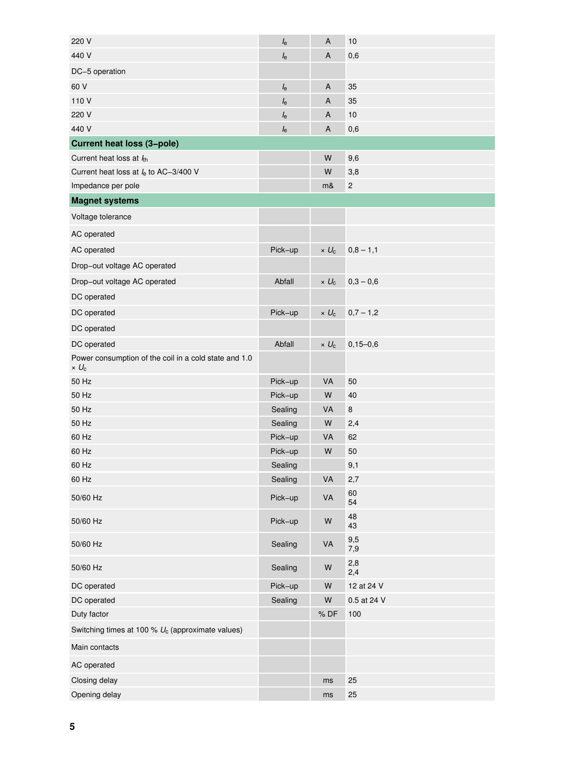| 220 V                                                                 | $I_{\rm e}$ | A              | 10           |
|-----------------------------------------------------------------------|-------------|----------------|--------------|
| 440 V                                                                 | $I_{\rm e}$ | Α              | 0,6          |
| DC-5 operation                                                        |             |                |              |
| 60 V                                                                  | $I_{\rm e}$ | A              | 35           |
| 110 V                                                                 | $I_{\rm e}$ | Α              | 35           |
| 220 V                                                                 | $I_{\rm e}$ | Α              | 10           |
| 440 V                                                                 | $I_{\rm e}$ | A              | 0,6          |
| <b>Current heat loss (3-pole)</b>                                     |             |                |              |
| Current heat loss at $lth$                                            |             | W              | 9,6          |
| Current heat loss at $I_e$ to AC-3/400 V                              |             | W              | 3,8          |
| Impedance per pole                                                    |             | m&             | $\sqrt{2}$   |
| <b>Magnet systems</b>                                                 |             |                |              |
| Voltage tolerance                                                     |             |                |              |
| AC operated                                                           |             |                |              |
| AC operated                                                           | Pick-up     | $\times U_c$   | $0,8 - 1,1$  |
| Drop-out voltage AC operated                                          |             |                |              |
| Drop-out voltage AC operated                                          | Abfall      | $\times U_c$   | $0,3 - 0,6$  |
| DC operated                                                           |             |                |              |
| DC operated                                                           | Pick-up     | $\times U_{c}$ | $0,7 - 1,2$  |
| DC operated                                                           |             |                |              |
| DC operated                                                           | Abfall      | $\times U_c$   | $0,15 - 0,6$ |
| Power consumption of the coil in a cold state and 1.0<br>$\times U_c$ |             |                |              |
| 50 Hz                                                                 | Pick-up     | VA             | 50           |
| 50 Hz                                                                 | Pick-up     | W              | 40           |
| 50 Hz                                                                 | Sealing     | VA             | $\bf 8$      |
| 50 Hz                                                                 | Sealing     | W              | 2,4          |
| 60 Hz                                                                 | Pick-up     | VA             | 62           |
| 60 Hz                                                                 | Pick-up     | W              | 50           |
| 60 Hz                                                                 | Sealing     |                | 9,1          |
| 60 Hz                                                                 | Sealing     | VA             | 2,7          |
| 50/60 Hz                                                              | Pick-up     | VA             | 60<br>54     |
| 50/60 Hz                                                              | Pick-up     | ${\sf W}$      | 48<br>43     |
| 50/60 Hz                                                              | Sealing     | VA             | 9,5<br>7,9   |
| 50/60 Hz                                                              | Sealing     | W              | 2,8<br>2,4   |
| DC operated                                                           | Pick-up     | ${\sf W}$      | 12 at 24 V   |
| DC operated                                                           | Sealing     | W              | 0.5 at 24 V  |
| Duty factor                                                           |             | % DF           | 100          |
| Switching times at 100 % $U_c$ (approximate values)                   |             |                |              |
| Main contacts                                                         |             |                |              |
| AC operated                                                           |             |                |              |
| Closing delay                                                         |             | ms             | 25           |
| Opening delay                                                         |             | ms             | 25           |